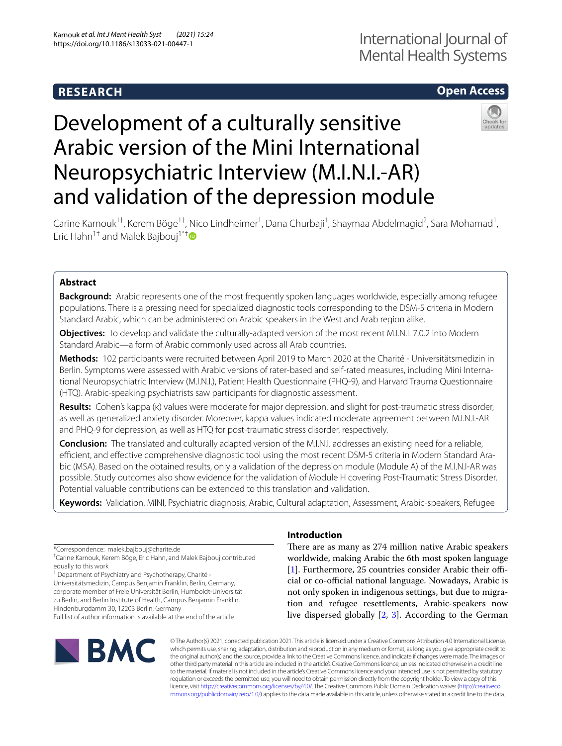# **RESEARCH**

# **Open Access**

# Development of a culturally sensitive Arabic version of the Mini International Neuropsychiatric Interview (M.I.N.I.-AR) and validation of the depression module



Carine Karnouk<sup>1†</sup>, Kerem Böge<sup>1†</sup>, Nico Lindheimer<sup>1</sup>, Dana Churbaji<sup>1</sup>, Shaymaa Abdelmagid<sup>2</sup>, Sara Mohamad<sup>1</sup>, Eric Hahn<sup>1[†](http://orcid.org/0000-0002-0073-3322)</sup> and Malek Bajbouj<sup>1\*†</sup>

### **Abstract**

**Background:** Arabic represents one of the most frequently spoken languages worldwide, especially among refugee populations. There is a pressing need for specialized diagnostic tools corresponding to the DSM-5 criteria in Modern Standard Arabic, which can be administered on Arabic speakers in the West and Arab region alike.

**Objectives:** To develop and validate the culturally-adapted version of the most recent M.I.N.I. 7.0.2 into Modern Standard Arabic—a form of Arabic commonly used across all Arab countries.

**Methods:** 102 participants were recruited between April 2019 to March 2020 at the Charité - Universitätsmedizin in Berlin. Symptoms were assessed with Arabic versions of rater-based and self-rated measures, including Mini International Neuropsychiatric Interview (M.I.N.I.), Patient Health Questionnaire (PHQ-9), and Harvard Trauma Questionnaire (HTQ). Arabic-speaking psychiatrists saw participants for diagnostic assessment.

**Results:** Cohen's kappa (κ) values were moderate for major depression, and slight for post-traumatic stress disorder, as well as generalized anxiety disorder. Moreover, kappa values indicated moderate agreement between M.I.N.I.-AR and PHQ-9 for depression, as well as HTQ for post-traumatic stress disorder, respectively.

**Conclusion:** The translated and culturally adapted version of the M.I.N.I. addresses an existing need for a reliable, efficient, and effective comprehensive diagnostic tool using the most recent DSM-5 criteria in Modern Standard Arabic (MSA). Based on the obtained results, only a validation of the depression module (Module A) of the M.I.N.I-AR was possible. Study outcomes also show evidence for the validation of Module H covering Post-Traumatic Stress Disorder. Potential valuable contributions can be extended to this translation and validation.

**Keywords:** Validation, MINI, Psychiatric diagnosis, Arabic, Cultural adaptation, Assessment, Arabic-speakers, Refugee

\*Correspondence: malek.bajbouj@charite.de

<sup>1</sup> Department of Psychiatry and Psychotherapy, Charité -

Universitätsmedizin, Campus Benjamin Franklin, Berlin, Germany, corporate member of Freie Universität Berlin, Humboldt-Universität zu Berlin, and Berlin Institute of Health, Campus Benjamin Franklin, Hindenburgdamm 30, 12203 Berlin, Germany

Full list of author information is available at the end of the article

# **IBMC**

## **Introduction**

There are as many as 274 million native Arabic speakers worldwide, making Arabic the 6th most spoken language [[1\]](#page-8-0). Furthermore, 25 countries consider Arabic their official or co-official national language. Nowadays, Arabic is not only spoken in indigenous settings, but due to migration and refugee resettlements, Arabic-speakers now live dispersed globally [\[2](#page-8-1), [3](#page-9-0)]. According to the German

© The Author(s) 2021, corrected publication 2021. This article is licensed under a Creative Commons Attribution 4.0 International License, which permits use, sharing, adaptation, distribution and reproduction in any medium or format, as long as you give appropriate credit to the original author(s) and the source, provide a link to the Creative Commons licence, and indicate if changes were made. The images or other third party material in this article are included in the article's Creative Commons licence, unless indicated otherwise in a credit line to the material. If material is not included in the article's Creative Commons licence and your intended use is not permitted by statutory regulation or exceeds the permitted use, you will need to obtain permission directly from the copyright holder. To view a copy of this licence, visit [http://creativecommons.org/licenses/by/4.0/.](http://creativecommons.org/licenses/by/4.0/) The Creative Commons Public Domain Dedication waiver ([http://creativeco](http://creativecommons.org/publicdomain/zero/1.0/) [mmons.org/publicdomain/zero/1.0/](http://creativecommons.org/publicdomain/zero/1.0/)) applies to the data made available in this article, unless otherwise stated in a credit line to the data.

<sup>†</sup> Carine Karnouk, Kerem Böge, Eric Hahn, and Malek Bajbouj contributed equally to this work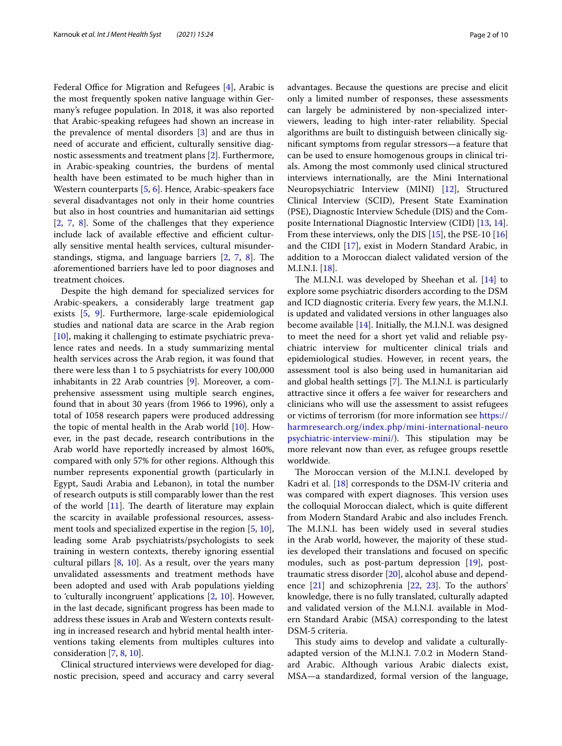Federal Office for Migration and Refugees  $[4]$  $[4]$ , Arabic is the most frequently spoken native language within Germany's refugee population. In 2018, it was also reported that Arabic-speaking refugees had shown an increase in the prevalence of mental disorders [\[3](#page-9-0)] and are thus in need of accurate and efficient, culturally sensitive diagnostic assessments and treatment plans [\[2](#page-8-1)]. Furthermore, in Arabic-speaking countries, the burdens of mental health have been estimated to be much higher than in Western counterparts [\[5](#page-9-2), [6\]](#page-9-3). Hence, Arabic-speakers face several disadvantages not only in their home countries but also in host countries and humanitarian aid settings [[2,](#page-8-1) [7,](#page-9-4) [8](#page-9-5)]. Some of the challenges that they experience include lack of available effective and efficient culturally sensitive mental health services, cultural misunderstandings, stigma, and language barriers  $[2, 7, 8]$  $[2, 7, 8]$  $[2, 7, 8]$  $[2, 7, 8]$  $[2, 7, 8]$  $[2, 7, 8]$  $[2, 7, 8]$ . The aforementioned barriers have led to poor diagnoses and treatment choices.

Despite the high demand for specialized services for Arabic-speakers, a considerably large treatment gap exists [\[5](#page-9-2), [9\]](#page-9-6). Furthermore, large-scale epidemiological studies and national data are scarce in the Arab region [[10\]](#page-9-7), making it challenging to estimate psychiatric prevalence rates and needs. In a study summarizing mental health services across the Arab region, it was found that there were less than 1 to 5 psychiatrists for every 100,000 inhabitants in 22 Arab countries [\[9](#page-9-6)]. Moreover, a comprehensive assessment using multiple search engines, found that in about 30 years (from 1966 to 1996), only a total of 1058 research papers were produced addressing the topic of mental health in the Arab world [[10\]](#page-9-7). However, in the past decade, research contributions in the Arab world have reportedly increased by almost 160%, compared with only 57% for other regions. Although this number represents exponential growth (particularly in Egypt, Saudi Arabia and Lebanon), in total the number of research outputs is still comparably lower than the rest of the world  $[11]$  $[11]$ . The dearth of literature may explain the scarcity in available professional resources, assessment tools and specialized expertise in the region [[5,](#page-9-2) [10](#page-9-7)], leading some Arab psychiatrists/psychologists to seek training in western contexts, thereby ignoring essential cultural pillars [[8,](#page-9-5) [10](#page-9-7)]. As a result, over the years many unvalidated assessments and treatment methods have been adopted and used with Arab populations yielding to 'culturally incongruent' applications [\[2,](#page-8-1) [10](#page-9-7)]. However, in the last decade, signifcant progress has been made to address these issues in Arab and Western contexts resulting in increased research and hybrid mental health interventions taking elements from multiples cultures into consideration [[7,](#page-9-4) [8](#page-9-5), [10\]](#page-9-7).

Clinical structured interviews were developed for diagnostic precision, speed and accuracy and carry several advantages. Because the questions are precise and elicit only a limited number of responses, these assessments can largely be administered by non-specialized interviewers, leading to high inter-rater reliability. Special algorithms are built to distinguish between clinically signifcant symptoms from regular stressors—a feature that can be used to ensure homogenous groups in clinical trials. Among the most commonly used clinical structured interviews internationally, are the Mini International Neuropsychiatric Interview (MINI) [\[12](#page-9-9)], Structured Clinical Interview (SCID), Present State Examination (PSE), Diagnostic Interview Schedule (DIS) and the Composite International Diagnostic Interview (CIDI) [[13,](#page-9-10) [14](#page-9-11)]. From these interviews, only the DIS [\[15\]](#page-9-12), the PSE-10 [[16](#page-9-13)] and the CIDI [\[17](#page-9-14)], exist in Modern Standard Arabic, in addition to a Moroccan dialect validated version of the M.I.N.I. [\[18](#page-9-15)].

The M.I.N.I. was developed by Sheehan et al.  $[14]$  $[14]$  to explore some psychiatric disorders according to the DSM and ICD diagnostic criteria. Every few years, the M.I.N.I. is updated and validated versions in other languages also become available [\[14](#page-9-11)]. Initially, the M.I.N.I. was designed to meet the need for a short yet valid and reliable psychiatric interview for multicenter clinical trials and epidemiological studies. However, in recent years, the assessment tool is also being used in humanitarian aid and global health settings  $[7]$  $[7]$ . The M.I.N.I. is particularly attractive since it offers a fee waiver for researchers and clinicians who will use the assessment to assist refugees or victims of terrorism (for more information see [https://](https://harmresearch.org/index.php/mini-international-neuropsychiatric-interview-mini/) [harmresearch.org/index.php/mini-international-neuro](https://harmresearch.org/index.php/mini-international-neuropsychiatric-interview-mini/) [psychiatric-interview-mini/\)](https://harmresearch.org/index.php/mini-international-neuropsychiatric-interview-mini/). This stipulation may be more relevant now than ever, as refugee groups resettle worldwide.

The Moroccan version of the M.I.N.I. developed by Kadri et al. [\[18](#page-9-15)] corresponds to the DSM-IV criteria and was compared with expert diagnoses. This version uses the colloquial Moroccan dialect, which is quite diferent from Modern Standard Arabic and also includes French. The M.I.N.I. has been widely used in several studies in the Arab world, however, the majority of these studies developed their translations and focused on specifc modules, such as post-partum depression [[19\]](#page-9-16), posttraumatic stress disorder [[20\]](#page-9-17), alcohol abuse and dependence [[21](#page-9-18)] and schizophrenia [[22,](#page-9-19) [23\]](#page-9-20). To the authors' knowledge, there is no fully translated, culturally adapted and validated version of the M.I.N.I. available in Modern Standard Arabic (MSA) corresponding to the latest DSM-5 criteria.

This study aims to develop and validate a culturallyadapted version of the M.I.N.I. 7.0.2 in Modern Standard Arabic. Although various Arabic dialects exist, MSA—a standardized, formal version of the language,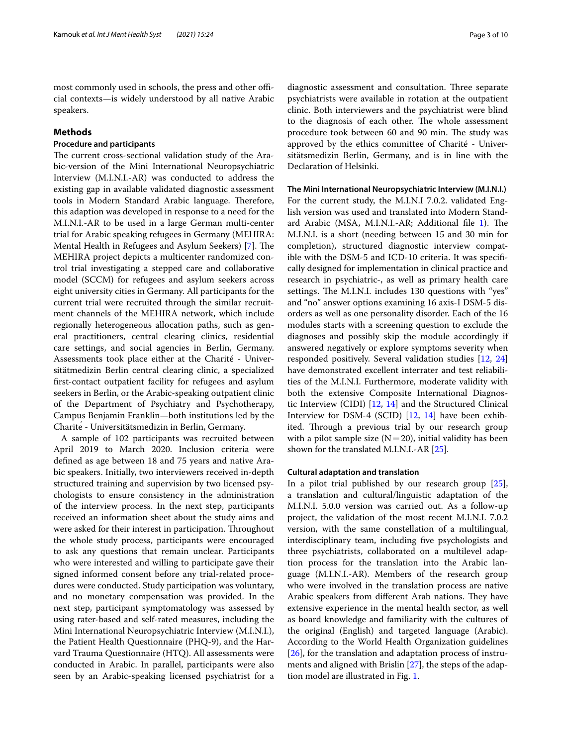most commonly used in schools, the press and other official contexts—is widely understood by all native Arabic speakers.

#### **Methods**

#### **Procedure and participants**

The current cross-sectional validation study of the Arabic-version of the Mini International Neuropsychiatric Interview (M.I.N.I.-AR) was conducted to address the existing gap in available validated diagnostic assessment tools in Modern Standard Arabic language. Therefore, this adaption was developed in response to a need for the M.I.N.I.-AR to be used in a large German multi-center trial for Arabic speaking refugees in Germany (MEHIRA: Mental Health in Refugees and Asylum Seekers) [[7\]](#page-9-4). The MEHIRA project depicts a multicenter randomized control trial investigating a stepped care and collaborative model (SCCM) for refugees and asylum seekers across eight university cities in Germany. All participants for the current trial were recruited through the similar recruitment channels of the MEHIRA network, which include regionally heterogeneous allocation paths, such as general practitioners, central clearing clinics, residential care settings, and social agencies in Berlin, Germany. Assessments took place either at the Charité - Universitätmedizin Berlin central clearing clinic, a specialized frst-contact outpatient facility for refugees and asylum seekers in Berlin, or the Arabic-speaking outpatient clinic of the Department of Psychiatry and Psychotherapy, Campus Benjamin Franklin—both institutions led by the Charité - Universitätsmedizin in Berlin, Germany.

A sample of 102 participants was recruited between April 2019 to March 2020. Inclusion criteria were defned as age between 18 and 75 years and native Arabic speakers. Initially, two interviewers received in-depth structured training and supervision by two licensed psychologists to ensure consistency in the administration of the interview process. In the next step, participants received an information sheet about the study aims and were asked for their interest in participation. Throughout the whole study process, participants were encouraged to ask any questions that remain unclear. Participants who were interested and willing to participate gave their signed informed consent before any trial-related procedures were conducted. Study participation was voluntary, and no monetary compensation was provided. In the next step, participant symptomatology was assessed by using rater-based and self-rated measures, including the Mini International Neuropsychiatric Interview (M.I.N.I.), the Patient Health Questionnaire (PHQ-9), and the Harvard Trauma Questionnaire (HTQ). All assessments were conducted in Arabic. In parallel, participants were also seen by an Arabic-speaking licensed psychiatrist for a

diagnostic assessment and consultation. Three separate psychiatrists were available in rotation at the outpatient clinic. Both interviewers and the psychiatrist were blind to the diagnosis of each other. The whole assessment procedure took between 60 and 90 min. The study was approved by the ethics committee of Charité - Universitätsmedizin Berlin, Germany, and is in line with the Declaration of Helsinki.

**The Mini International Neuropsychiatric Interview (M.I.N.I.)** For the current study, the M.I.N.I 7.0.2. validated English version was used and translated into Modern Stand-ard Arabic (MSA, M.I.N.I.-AR; Additional file [1\)](#page-8-2). The M.I.N.I. is a short (needing between 15 and 30 min for completion), structured diagnostic interview compatible with the DSM-5 and ICD-10 criteria. It was specifcally designed for implementation in clinical practice and research in psychiatric-, as well as primary health care settings. The M.I.N.I. includes 130 questions with "yes" and "no" answer options examining 16 axis-I DSM-5 disorders as well as one personality disorder. Each of the 16 modules starts with a screening question to exclude the diagnoses and possibly skip the module accordingly if answered negatively or explore symptoms severity when responded positively. Several validation studies [[12](#page-9-9), [24](#page-9-21)] have demonstrated excellent interrater and test reliabilities of the M.I.N.I. Furthermore, moderate validity with both the extensive Composite International Diagnostic Interview (CIDI) [\[12,](#page-9-9) [14](#page-9-11)] and the Structured Clinical Interview for DSM-4 (SCID) [\[12](#page-9-9), [14](#page-9-11)] have been exhibited. Through a previous trial by our research group with a pilot sample size  $(N=20)$ , initial validity has been shown for the translated M.I.N.I.-AR [[25](#page-9-22)].

#### **Cultural adaptation and translation**

In a pilot trial published by our research group [\[25](#page-9-22)], a translation and cultural/linguistic adaptation of the M.I.N.I. 5.0.0 version was carried out. As a follow-up project, the validation of the most recent M.I.N.I. 7.0.2 version, with the same constellation of a multilingual, interdisciplinary team, including fve psychologists and three psychiatrists, collaborated on a multilevel adaption process for the translation into the Arabic language (M.I.N.I.-AR). Members of the research group who were involved in the translation process are native Arabic speakers from different Arab nations. They have extensive experience in the mental health sector, as well as board knowledge and familiarity with the cultures of the original (English) and targeted language (Arabic). According to the World Health Organization guidelines [[26\]](#page-9-23), for the translation and adaptation process of instruments and aligned with Brislin [\[27](#page-9-24)], the steps of the adaption model are illustrated in Fig. [1.](#page-3-0)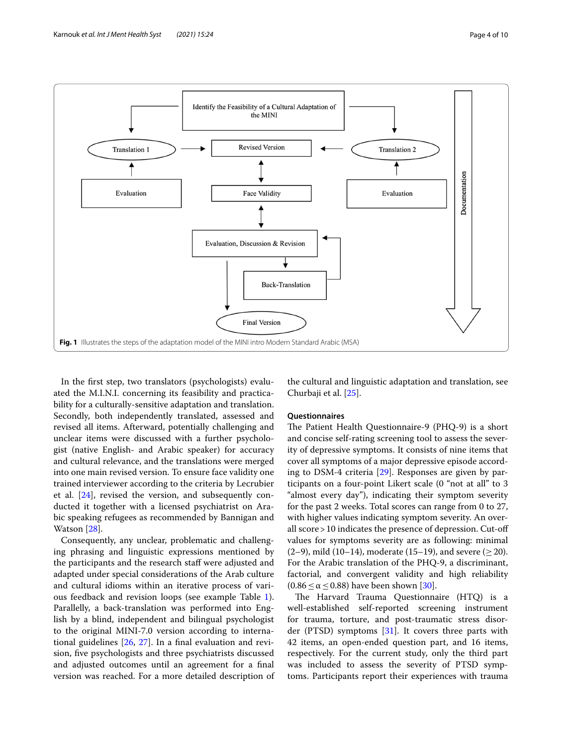

<span id="page-3-0"></span>In the frst step, two translators (psychologists) evaluated the M.I.N.I. concerning its feasibility and practicability for a culturally-sensitive adaptation and translation. Secondly, both independently translated, assessed and revised all items. Afterward, potentially challenging and unclear items were discussed with a further psychologist (native English- and Arabic speaker) for accuracy and cultural relevance, and the translations were merged into one main revised version. To ensure face validity one trained interviewer according to the criteria by Lecrubier et al. [\[24\]](#page-9-21), revised the version, and subsequently conducted it together with a licensed psychiatrist on Arabic speaking refugees as recommended by Bannigan and Watson [[28\]](#page-9-25).

Consequently, any unclear, problematic and challenging phrasing and linguistic expressions mentioned by the participants and the research staff were adjusted and adapted under special considerations of the Arab culture and cultural idioms within an iterative process of various feedback and revision loops (see example Table [1](#page-4-0)). Parallelly, a back-translation was performed into English by a blind, independent and bilingual psychologist to the original MINI-7.0 version according to international guidelines [[26](#page-9-23), [27\]](#page-9-24). In a fnal evaluation and revision, fve psychologists and three psychiatrists discussed and adjusted outcomes until an agreement for a fnal version was reached. For a more detailed description of the cultural and linguistic adaptation and translation, see Churbaji et al. [[25\]](#page-9-22).

#### **Questionnaires**

The Patient Health Questionnaire-9 (PHQ-9) is a short and concise self-rating screening tool to assess the severity of depressive symptoms. It consists of nine items that cover all symptoms of a major depressive episode according to DSM-4 criteria [\[29](#page-9-26)]. Responses are given by participants on a four-point Likert scale (0 "not at all" to 3 "almost every day"), indicating their symptom severity for the past 2 weeks. Total scores can range from 0 to 27, with higher values indicating symptom severity. An overall score>10 indicates the presence of depression. Cut-of values for symptoms severity are as following: minimal  $(2-9)$ , mild  $(10-14)$ , moderate  $(15-19)$ , and severe  $(>20)$ . For the Arabic translation of the PHQ-9, a discriminant, factorial, and convergent validity and high reliability  $(0.86 \le \alpha \le 0.88)$  have been shown [[30\]](#page-9-27).

The Harvard Trauma Questionnaire (HTQ) is a well-established self-reported screening instrument for trauma, torture, and post-traumatic stress disorder (PTSD) symptoms  $[31]$  $[31]$ . It covers three parts with 42 items, an open-ended question part, and 16 items, respectively. For the current study, only the third part was included to assess the severity of PTSD symptoms. Participants report their experiences with trauma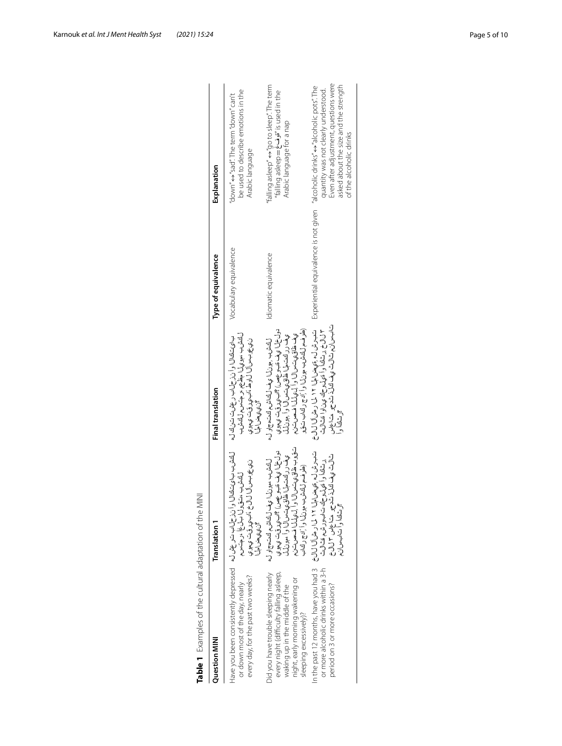| Question MINI                                                                                                                                                                   | Translation 1                                                                                                                                                                                                                                                                                                           | <b>Final translation</b>                                                                                                                                                                                                                                                 | Type of equivalence    | Explanation                                                                                                                                                                                                                           |
|---------------------------------------------------------------------------------------------------------------------------------------------------------------------------------|-------------------------------------------------------------------------------------------------------------------------------------------------------------------------------------------------------------------------------------------------------------------------------------------------------------------------|--------------------------------------------------------------------------------------------------------------------------------------------------------------------------------------------------------------------------------------------------------------------------|------------------------|---------------------------------------------------------------------------------------------------------------------------------------------------------------------------------------------------------------------------------------|
| every day, for the past two weeks?<br>or down most of the day, nearly                                                                                                           | للحشب بالوثانيان وأنذكي له له المع المستخلص العام المستخلص المستخلص المستخلص المستخلص والمستخلص والمستخلص والمستخلص وأنذر كم<br>ن ي ع وب س آل آل خ . ناب ي رقت ب چو ي<br>لكشب ستورل بالراغ المرمتس<br>گن ي ي ضراحل                                                                                                      | ل اقشاب مهوي المائيل الموسي المسابق المسلم المائيس<br>ふうじゅつこう しょうしょう りっすつ<br>ن ي عوب س آل ل و ط ، اب ي رق ت ي مو ي<br>گن ي چاس الميل ا                                                                                                                                   | Vocabulary equivalence | be used to describe emotions in the<br>'down" ↔ "sad". The term "down" can't<br>Arabic language                                                                                                                                       |
| Did you have trouble sleeping nearly<br>every night (difficulty falling asleep,<br>night, early morning wakening or<br>waking up in the middle of the<br>sleeping excessively)? | تۆوب ظاۋى تىسال وا لىيىلىل فىصرىتىن<br>دول خ۱ ويف قدر عصن) ؟اب،ي رقت ي هوي<br>يحف رر لفت لما ظاق،ي تمسرال او أ مهونلل<br>ل اولاد الله عليه السلام السلام السلام السلام السلام السلام السلام السلام السلام السلام السلام السلا<br>(ملوف) والخشام ل الخشام ولائما والخشام ل الخشام ل الخشام ل الخشام ل الخشام المحركة الم | (4) الراقة المراكزة المراكزة المراكزة المراكزة المراكزة المراكزة المراكزة المراكزة المراكزة المراكزة<br>دول خا ا ي ف قدو عصل) ؟ابيروقت ي هوي<br>ي ف رركت لما ظاق ي ت سال او ا ,هونال<br>ىف ظاق ياتس (ل و أ ل يال ا فص ت<br>ل الشروبي بون(ا ي ف ل الداشرم الدين السمراو ل | Idiomatic equivalence  | "falling asleep" $\leftrightarrow$ "go to sleep". The term<br>falling asleep = 3" is used in the<br>Arabic language for a nap                                                                                                         |
|                                                                                                                                                                                 | ؟رشاقا وأ سالبسان.                                                                                                                                                                                                                                                                                                      | بارات و استان از است و است و است و است از است از است از است از است از است از است از است از است از اس<br>شبرش له ,قهضامها ۱۲ ل ۱۱ رهن آل ال<br>۲ لال ثر د کتابه و آورد او او قد ای او استان به این استان به این استان به این استان به این استان است<br>م<br>بر شاه آب آ   |                        | Even after adjustment, questions were<br>asked about the size and the strength<br>Experiential equivalence is not given "alcoholic drinks" ↔ "alcoholic pots". The<br>quantity was not clearly understood.<br>of the alcoholic drinks |

<span id="page-4-0"></span>

| $\frac{1}{2}$                                                 |
|---------------------------------------------------------------|
| $\overline{\phantom{a}}$<br>$\frac{1}{2}$<br>5<br>I<br>5<br>i |
| $\ddot{ }$<br>j                                               |
| J<br>$-10.7$<br>j                                             |
| $\frac{1}{2}$<br>I<br>l<br>5<br>Ş<br>I                        |
|                                                               |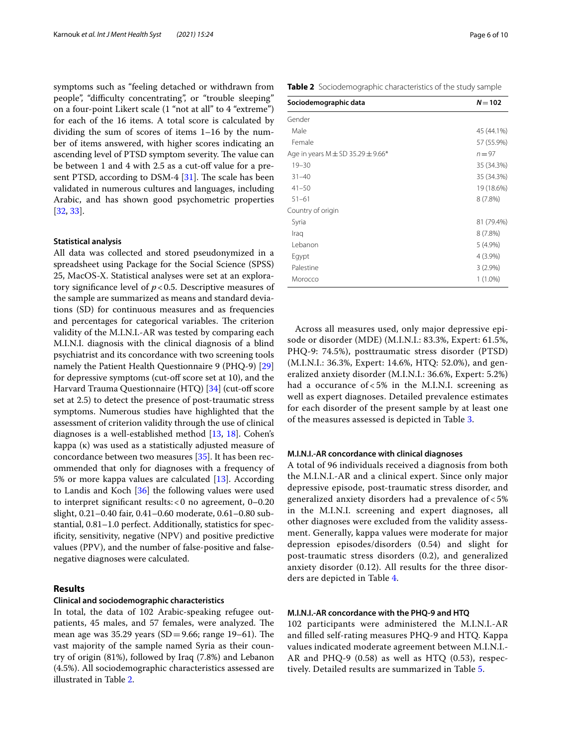symptoms such as "feeling detached or withdrawn from people", "difficulty concentrating", or "trouble sleeping" on a four-point Likert scale (1 "not at all" to 4 "extreme") for each of the 16 items. A total score is calculated by dividing the sum of scores of items 1–16 by the number of items answered, with higher scores indicating an ascending level of PTSD symptom severity. The value can be between 1 and 4 with 2.5 as a cut-off value for a present PTSD, according to DSM-4  $[31]$  $[31]$ . The scale has been validated in numerous cultures and languages, including Arabic, and has shown good psychometric properties [[32,](#page-9-29) [33](#page-9-30)].

#### **Statistical analysis**

All data was collected and stored pseudonymized in a spreadsheet using Package for the Social Science (SPSS) 25, MacOS-X. Statistical analyses were set at an exploratory significance level of  $p < 0.5$ . Descriptive measures of the sample are summarized as means and standard deviations (SD) for continuous measures and as frequencies and percentages for categorical variables. The criterion validity of the M.I.N.I.-AR was tested by comparing each M.I.N.I. diagnosis with the clinical diagnosis of a blind psychiatrist and its concordance with two screening tools namely the Patient Health Questionnaire 9 (PHQ-9) [[29](#page-9-26)] for depressive symptoms (cut-off score set at 10), and the Harvard Trauma Questionnaire (HTQ) [\[34](#page-9-31)] (cut-off score set at 2.5) to detect the presence of post-traumatic stress symptoms. Numerous studies have highlighted that the assessment of criterion validity through the use of clinical diagnoses is a well-established method [[13](#page-9-10), [18\]](#page-9-15). Cohen's kappa (κ) was used as a statistically adjusted measure of concordance between two measures [[35\]](#page-9-32). It has been recommended that only for diagnoses with a frequency of 5% or more kappa values are calculated [\[13](#page-9-10)]. According to Landis and Koch [[36\]](#page-9-33) the following values were used to interpret signifcant results:<0 no agreement, 0–0.20 slight, 0.21–0.40 fair, 0.41–0.60 moderate, 0.61–0.80 substantial, 0.81–1.0 perfect. Additionally, statistics for specifcity, sensitivity, negative (NPV) and positive predictive values (PPV), and the number of false-positive and falsenegative diagnoses were calculated.

#### **Results**

#### **Clinical and sociodemographic characteristics**

In total, the data of 102 Arabic-speaking refugee outpatients, 45 males, and 57 females, were analyzed. The mean age was 35.29 years (SD=9.66; range 19–61). The vast majority of the sample named Syria as their country of origin (81%), followed by Iraq (7.8%) and Lebanon (4.5%). All sociodemographic characteristics assessed are illustrated in Table [2](#page-5-0).

<span id="page-5-0"></span>**Table 2** Sociodemographic characteristics of the study sample

| Sociodemographic data                     | $N = 102$  |
|-------------------------------------------|------------|
| Gender                                    |            |
| Male                                      | 45 (44.1%) |
| Female                                    | 57 (55.9%) |
| Age in years $M \pm SD$ 35.29 $\pm$ 9.66* | $n = 97$   |
| $19 - 30$                                 | 35 (34.3%) |
| $31 - 40$                                 | 35 (34.3%) |
| $41 - 50$                                 | 19 (18.6%) |
| $51 - 61$                                 | $8(7.8\%)$ |
| Country of origin                         |            |
| Syria                                     | 81 (79.4%) |
| Iraq                                      | 8(7.8%)    |
| Lebanon                                   | $5(4.9\%)$ |
| Egypt                                     | 4 (3.9%)   |
| Palestine                                 | $3(2.9\%)$ |
| Morocco                                   | $1(1.0\%)$ |

Across all measures used, only major depressive episode or disorder (MDE) (M.I.N.I.: 83.3%, Expert: 61.5%, PHQ-9: 74.5%), posttraumatic stress disorder (PTSD) (M.I.N.I.: 36.3%, Expert: 14.6%, HTQ: 52.0%), and generalized anxiety disorder (M.I.N.I.: 36.6%, Expert: 5.2%) had a occurance of < 5% in the M.I.N.I. screening as well as expert diagnoses. Detailed prevalence estimates for each disorder of the present sample by at least one of the measures assessed is depicted in Table [3](#page-6-0).

#### **M.I.N.I.‑AR concordance with clinical diagnoses**

A total of 96 individuals received a diagnosis from both the M.I.N.I.-AR and a clinical expert. Since only major depressive episode, post-traumatic stress disorder, and generalized anxiety disorders had a prevalence of < 5% in the M.I.N.I. screening and expert diagnoses, all other diagnoses were excluded from the validity assessment. Generally, kappa values were moderate for major depression episodes/disorders (0.54) and slight for post-traumatic stress disorders (0.2), and generalized anxiety disorder (0.12). All results for the three disorders are depicted in Table [4](#page-6-1).

#### **M.I.N.I.‑AR concordance with the PHQ‑9 and HTQ**

102 participants were administered the M.I.N.I.-AR and flled self-rating measures PHQ-9 and HTQ. Kappa values indicated moderate agreement between M.I.N.I.- AR and PHQ-9 (0.58) as well as HTQ (0.53), respectively. Detailed results are summarized in Table [5.](#page-7-0)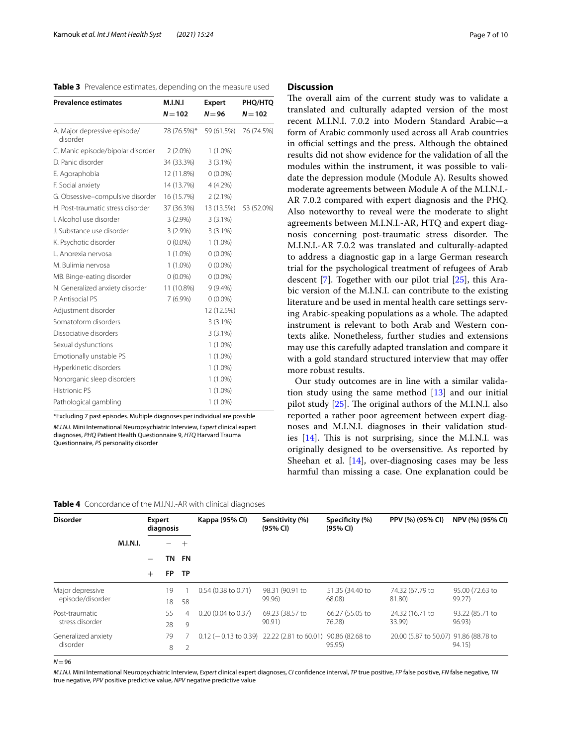<span id="page-6-0"></span>

| <b>Prevalence estimates</b>              | M.I.N.I<br>$N = 102$ | Expert<br>$N = 96$ | PHQ/HTQ<br>$N = 102$ |
|------------------------------------------|----------------------|--------------------|----------------------|
| A. Major depressive episode/<br>disorder | 78 (76.5%)*          | 59 (61.5%)         | 76 (74.5%)           |
| C. Manic episode/bipolar disorder        | $2(2.0\%)$           | $1(1.0\%)$         |                      |
| D. Panic disorder                        | 34 (33.3%)           | $3(3.1\%)$         |                      |
| E. Agoraphobia                           | 12 (11.8%)           | $0(0.0\%)$         |                      |
| F. Social anxiety                        | 14 (13.7%)           | $4(4.2\%)$         |                      |
| G. Obsessive-compulsive disorder         | 16 (15.7%)           | $2(2.1\%)$         |                      |
| H. Post-traumatic stress disorder        | 37 (36.3%)           | 13 (13.5%)         | 53 (52.0%)           |
| I. Alcohol use disorder                  | $3(2.9\%)$           | $3(3.1\%)$         |                      |
| J. Substance use disorder                | $3(2.9\%)$           | $3(3.1\%)$         |                      |
| K. Psychotic disorder                    | $0(0.0\%)$           | $1(1.0\%)$         |                      |
| L. Anorexia nervosa                      | $1(1.0\%)$           | $0(0.0\%)$         |                      |
| M. Bulimia nervosa                       | $1(1.0\%)$           | $0(0.0\%)$         |                      |
| MB. Binge-eating disorder                | $0(0.0\%)$           | $0(0.0\%)$         |                      |
| N. Generalized anxiety disorder          | 11 (10.8%)           | $9(9.4\%)$         |                      |
| P. Antisocial PS                         | $7(6.9\%)$           | $0(0.0\%)$         |                      |
| Adjustment disorder                      |                      | 12 (12.5%)         |                      |
| Somatoform disorders                     |                      | $3(3.1\%)$         |                      |
| Dissociative disorders                   |                      | $3(3.1\%)$         |                      |
| Sexual dysfunctions                      |                      | $1(1.0\%)$         |                      |
| Emotionally unstable PS                  |                      | $1(1.0\%)$         |                      |
| Hyperkinetic disorders                   |                      | $1(1.0\%)$         |                      |
| Nonorganic sleep disorders               |                      | $1(1.0\%)$         |                      |
| <b>Histrionic PS</b>                     |                      | $1(1.0\%)$         |                      |
| Pathological gambling                    |                      | $1(1.0\%)$         |                      |

\*Excluding 7 past episodes. Multiple diagnoses per individual are possible *M.I.N.I.* Mini International Neuropsychiatric Interview, *Expert* clinical expert diagnoses, *PHQ* Patient Health Questionnaire 9, *HTQ* Harvard Trauma Questionnaire, *PS* personality disorder

| Page 7 of 10 |  |  |  |  |
|--------------|--|--|--|--|
|--------------|--|--|--|--|

#### **Discussion**

The overall aim of the current study was to validate a translated and culturally adapted version of the most recent M.I.N.I. 7.0.2 into Modern Standard Arabic—a form of Arabic commonly used across all Arab countries in official settings and the press. Although the obtained results did not show evidence for the validation of all the modules within the instrument, it was possible to validate the depression module (Module A). Results showed moderate agreements between Module A of the M.I.N.I.- AR 7.0.2 compared with expert diagnosis and the PHQ. Also noteworthy to reveal were the moderate to slight agreements between M.I.N.I.-AR, HTQ and expert diagnosis concerning post-traumatic stress disorder. The M.I.N.I.-AR 7.0.2 was translated and culturally-adapted to address a diagnostic gap in a large German research trial for the psychological treatment of refugees of Arab descent [[7](#page-9-4)]. Together with our pilot trial [\[25](#page-9-22)], this Arabic version of the M.I.N.I. can contribute to the existing literature and be used in mental health care settings serving Arabic-speaking populations as a whole. The adapted instrument is relevant to both Arab and Western contexts alike. Nonetheless, further studies and extensions may use this carefully adapted translation and compare it with a gold standard structured interview that may offer more robust results.

Our study outcomes are in line with a similar validation study using the same method [[13\]](#page-9-10) and our initial pilot study  $[25]$  $[25]$ . The original authors of the M.I.N.I. also reported a rather poor agreement between expert diagnoses and M.I.N.I. diagnoses in their validation studies  $[14]$  $[14]$ . This is not surprising, since the M.I.N.I. was originally designed to be oversensitive. As reported by Sheehan et al.  $[14]$  $[14]$ , over-diagnosing cases may be less harmful than missing a case. One explanation could be

| <b>Disorder</b>                      |                 | Expert           | diagnosis |                 | Kappa (95% CI)         | Sensitivity (%)<br>(95% CI) | Specificity (%)<br>(95% CI) | PPV (%) (95% CI)                      | NPV (%) (95% CI) |
|--------------------------------------|-----------------|------------------|-----------|-----------------|------------------------|-----------------------------|-----------------------------|---------------------------------------|------------------|
|                                      | <b>M.I.N.I.</b> |                  | ΤN        | $\pm$           |                        |                             |                             |                                       |                  |
|                                      |                 | <b>FP</b><br>$+$ |           | FN<br><b>TP</b> |                        |                             |                             |                                       |                  |
|                                      |                 |                  |           |                 |                        |                             |                             |                                       |                  |
| Major depressive<br>episode/disorder |                 |                  | 19        |                 | $0.54$ (0.38 to 0.71)  | 98.31 (90.91 to             | 51.35 (34.40 to             | 74.32 (67.79 to                       | 95.00 (72.63 to  |
|                                      |                 |                  | 18        | 58              |                        | 99.96)                      | 68.08)                      | 81.80)                                | 99.27)           |
| Post-traumatic<br>stress disorder    |                 |                  | 55        | 4               | $0.20$ (0.04 to 0.37)  | 69.23 (38.57 to             | 66.27 (55.05 to             | 24.32 (16.71 to                       | 93.22 (85.71 to  |
|                                      |                 |                  | 28        | 9               |                        | 90.91)                      | 76.28                       | 33.99)                                | 96.93)           |
| Generalized anxiety<br>disorder      |                 |                  | 79        |                 | $0.12$ (-0.13 to 0.39) | 22.22 (2.81 to 60.01)       | 90.86 (82.68 to             | 20.00 (5.87 to 50.07) 91.86 (88.78 to |                  |
|                                      |                 |                  | 8         | $\mathcal{P}$   |                        |                             | 95.95)                      |                                       | 94.15)           |

<span id="page-6-1"></span>**Table 4** Concordance of the M.I.N.I.-AR with clinical diagnoses

 $N = 96$ 

*M.I.N.I.* Mini International Neuropsychiatric Interview, *Expert* clinical expert diagnoses, *CI* confdence interval, *TP* true positive, *FP* false positive, *FN* false negative, *TN* true negative, *PPV* positive predictive value, *NPV* negative predictive value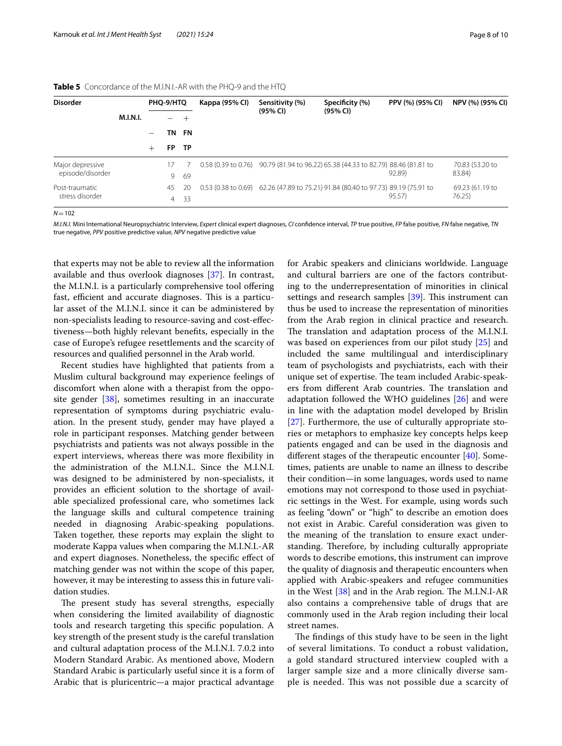| <b>Disorder</b>                      |                 | PHQ-9/HTQ |                |           | Kappa (95% CI)                | Sensitivity (%) | Specificity (%)                                                                   | PPV (%) (95% CI) | NPV (%) (95% CI)          |
|--------------------------------------|-----------------|-----------|----------------|-----------|-------------------------------|-----------------|-----------------------------------------------------------------------------------|------------------|---------------------------|
|                                      | <b>M.I.N.I.</b> |           |                | +         |                               | (95% CI)        | (95% CI)                                                                          |                  |                           |
|                                      |                 |           | TN             | FN        |                               |                 |                                                                                   |                  |                           |
|                                      |                 | $^+$      | FP.            | TP        |                               |                 |                                                                                   |                  |                           |
| Major depressive<br>episode/disorder |                 |           | 17             |           |                               |                 | 0.58 (0.39 to 0.76) 90.79 (81.94 to 96.22) 65.38 (44.33 to 82.79) 88.46 (81.81 to | 92.89)           | 70.83 (53.20 to<br>83.84) |
| Post-traumatic                       |                 |           | 9<br>45        | 69<br>-20 | $0.53(0.38 \text{ to } 0.69)$ |                 | 62.26 (47.89 to 75.21) 91.84 (80.40 to 97.73) 89.19 (75.91 to                     |                  | 69.23 (61.19 to           |
| stress disorder                      |                 |           | $\overline{4}$ | -33       |                               |                 |                                                                                   | 95.57)           | 76.25                     |

#### <span id="page-7-0"></span>**Table 5** Concordance of the M.I.N.I.-AR with the PHQ-9 and the HTQ

 $N = 102$ 

*M.I.N.I.* Mini International Neuropsychiatric Interview, *Expert* clinical expert diagnoses, *CI* confdence interval, *TP* true positive, *FP* false positive, *FN* false negative, *TN* true negative, *PPV* positive predictive value, *NPV* negative predictive value

that experts may not be able to review all the information available and thus overlook diagnoses [[37\]](#page-9-34). In contrast, the M.I.N.I. is a particularly comprehensive tool offering fast, efficient and accurate diagnoses. This is a particular asset of the M.I.N.I. since it can be administered by non-specialists leading to resource-saving and cost-efectiveness—both highly relevant benefts, especially in the case of Europe's refugee resettlements and the scarcity of resources and qualifed personnel in the Arab world.

Recent studies have highlighted that patients from a Muslim cultural background may experience feelings of discomfort when alone with a therapist from the opposite gender [\[38](#page-9-35)], sometimes resulting in an inaccurate representation of symptoms during psychiatric evaluation. In the present study, gender may have played a role in participant responses. Matching gender between psychiatrists and patients was not always possible in the expert interviews, whereas there was more fexibility in the administration of the M.I.N.I.. Since the M.I.N.I. was designed to be administered by non-specialists, it provides an efficient solution to the shortage of available specialized professional care, who sometimes lack the language skills and cultural competence training needed in diagnosing Arabic-speaking populations. Taken together, these reports may explain the slight to moderate Kappa values when comparing the M.I.N.I.-AR and expert diagnoses. Nonetheless, the specifc efect of matching gender was not within the scope of this paper, however, it may be interesting to assess this in future validation studies.

The present study has several strengths, especially when considering the limited availability of diagnostic tools and research targeting this specifc population. A key strength of the present study is the careful translation and cultural adaptation process of the M.I.N.I. 7.0.2 into Modern Standard Arabic. As mentioned above, Modern Standard Arabic is particularly useful since it is a form of Arabic that is pluricentric—a major practical advantage for Arabic speakers and clinicians worldwide. Language and cultural barriers are one of the factors contributing to the underrepresentation of minorities in clinical settings and research samples  $[39]$  $[39]$ . This instrument can thus be used to increase the representation of minorities from the Arab region in clinical practice and research. The translation and adaptation process of the M.I.N.I. was based on experiences from our pilot study [\[25\]](#page-9-22) and included the same multilingual and interdisciplinary team of psychologists and psychiatrists, each with their unique set of expertise. The team included Arabic-speakers from different Arab countries. The translation and adaptation followed the WHO guidelines [[26\]](#page-9-23) and were in line with the adaptation model developed by Brislin [[27\]](#page-9-24). Furthermore, the use of culturally appropriate stories or metaphors to emphasize key concepts helps keep patients engaged and can be used in the diagnosis and diferent stages of the therapeutic encounter [[40\]](#page-9-37). Sometimes, patients are unable to name an illness to describe their condition—in some languages, words used to name emotions may not correspond to those used in psychiatric settings in the West. For example, using words such as feeling "down" or "high" to describe an emotion does not exist in Arabic. Careful consideration was given to the meaning of the translation to ensure exact understanding. Therefore, by including culturally appropriate words to describe emotions, this instrument can improve the quality of diagnosis and therapeutic encounters when applied with Arabic-speakers and refugee communities in the West  $[38]$  $[38]$  and in the Arab region. The M.I.N.I-AR also contains a comprehensive table of drugs that are commonly used in the Arab region including their local street names.

The findings of this study have to be seen in the light of several limitations. To conduct a robust validation, a gold standard structured interview coupled with a larger sample size and a more clinically diverse sample is needed. This was not possible due a scarcity of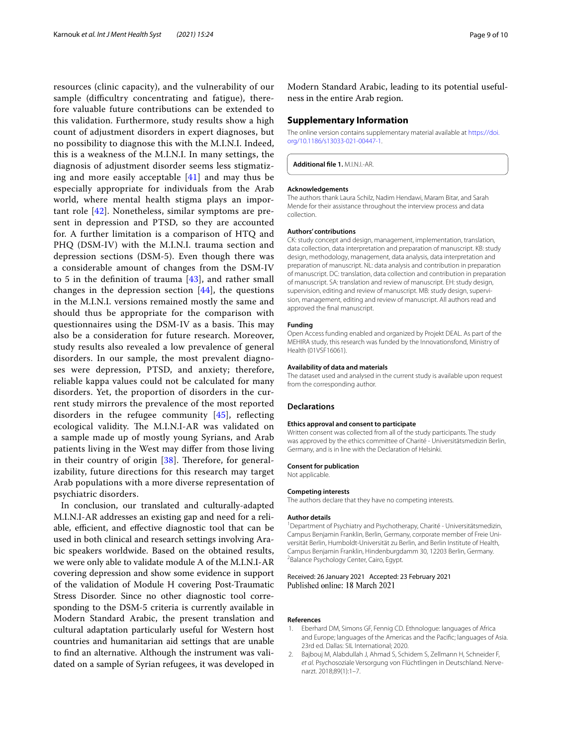resources (clinic capacity), and the vulnerability of our sample (difficultry concentrating and fatigue), therefore valuable future contributions can be extended to this validation. Furthermore, study results show a high count of adjustment disorders in expert diagnoses, but no possibility to diagnose this with the M.I.N.I. Indeed, this is a weakness of the M.I.N.I. In many settings, the diagnosis of adjustment disorder seems less stigmatizing and more easily acceptable [\[41](#page-9-38)] and may thus be especially appropriate for individuals from the Arab world, where mental health stigma plays an important role [\[42](#page-9-39)]. Nonetheless, similar symptoms are present in depression and PTSD, so they are accounted for. A further limitation is a comparison of HTQ and PHQ (DSM-IV) with the M.I.N.I. trauma section and depression sections (DSM-5). Even though there was a considerable amount of changes from the DSM-IV to 5 in the defnition of trauma [\[43](#page-9-40)], and rather small changes in the depression section [[44\]](#page-9-41), the questions in the M.I.N.I. versions remained mostly the same and should thus be appropriate for the comparison with questionnaires using the DSM-IV as a basis. This may also be a consideration for future research. Moreover, study results also revealed a low prevalence of general disorders. In our sample, the most prevalent diagnoses were depression, PTSD, and anxiety; therefore, reliable kappa values could not be calculated for many disorders. Yet, the proportion of disorders in the current study mirrors the prevalence of the most reported disorders in the refugee community  $[45]$  $[45]$ , reflecting ecological validity. The M.I.N.I-AR was validated on a sample made up of mostly young Syrians, and Arab patients living in the West may difer from those living in their country of origin  $[38]$  $[38]$ . Therefore, for generalizability, future directions for this research may target Arab populations with a more diverse representation of psychiatric disorders.

In conclusion, our translated and culturally-adapted M.I.N.I-AR addresses an existing gap and need for a reliable, efficient, and effective diagnostic tool that can be used in both clinical and research settings involving Arabic speakers worldwide. Based on the obtained results, we were only able to validate module A of the M.I.N.I-AR covering depression and show some evidence in support of the validation of Module H covering Post-Traumatic Stress Disorder. Since no other diagnostic tool corresponding to the DSM-5 criteria is currently available in Modern Standard Arabic, the present translation and cultural adaptation particularly useful for Western host countries and humanitarian aid settings that are unable to fnd an alternative. Although the instrument was validated on a sample of Syrian refugees, it was developed in Modern Standard Arabic, leading to its potential usefulness in the entire Arab region.

#### **Supplementary Information**

The online version contains supplementary material available at [https://doi.](https://doi.org/10.1186/s13033-021-00447-1) [org/10.1186/s13033-021-00447-1](https://doi.org/10.1186/s13033-021-00447-1).

<span id="page-8-2"></span>**Additional fle 1.** M.I.N.I.-AR.

#### **Acknowledgements**

The authors thank Laura Schilz, Nadim Hendawi, Maram Bitar, and Sarah Mende for their assistance throughout the interview process and data collection.

#### **Authors' contributions**

CK: study concept and design, management, implementation, translation, data collection, data interpretation and preparation of manuscript. KB: study design, methodology, management, data analysis, data interpretation and preparation of manuscript. NL: data analysis and contribution in preparation of manuscript. DC: translation, data collection and contribution in preparation of manuscript. SA: translation and review of manuscript. EH: study design, supervision, editing and review of manuscript. MB: study design, supervision, management, editing and review of manuscript. All authors read and approved the fnal manuscript.

#### **Funding**

Open Access funding enabled and organized by Projekt DEAL. As part of the MEHIRA study, this research was funded by the Innovationsfond, Ministry of Health (01VSF16061).

#### **Availability of data and materials**

The dataset used and analysed in the current study is available upon request from the corresponding author.

#### **Declarations**

#### **Ethics approval and consent to participate**

Written consent was collected from all of the study participants. The study was approved by the ethics committee of Charité - Universitätsmedizin Berlin, Germany, and is in line with the Declaration of Helsinki.

#### **Consent for publication**

Not applicable.

#### **Competing interests**

The authors declare that they have no competing interests.

#### **Author details**

<sup>1</sup> Department of Psychiatry and Psychotherapy, Charité - Universitätsmedizin, Campus Benjamin Franklin, Berlin, Germany, corporate member of Freie Universität Berlin, Humboldt-Universität zu Berlin, and Berlin Institute of Health, Campus Benjamin Franklin, Hindenburgdamm 30, 12203 Berlin, Germany. 2 <sup>2</sup>Balance Psychology Center, Cairo, Egypt.

#### Received: 26 January 2021 Accepted: 23 February 2021 Published online: 18 March 2021

#### **References**

- <span id="page-8-0"></span>1. Eberhard DM, Simons GF, Fennig CD. Ethnologue: languages of Africa and Europe; languages of the Americas and the Pacifc; languages of Asia. 23rd ed. Dallas: SIL International; 2020.
- <span id="page-8-1"></span>2. Bajbouj M, Alabdullah J, Ahmad S, Schidem S, Zellmann H, Schneider F, *et al*. Psychosoziale Versorgung von Flüchtlingen in Deutschland. Nervenarzt. 2018;89(1):1–7.